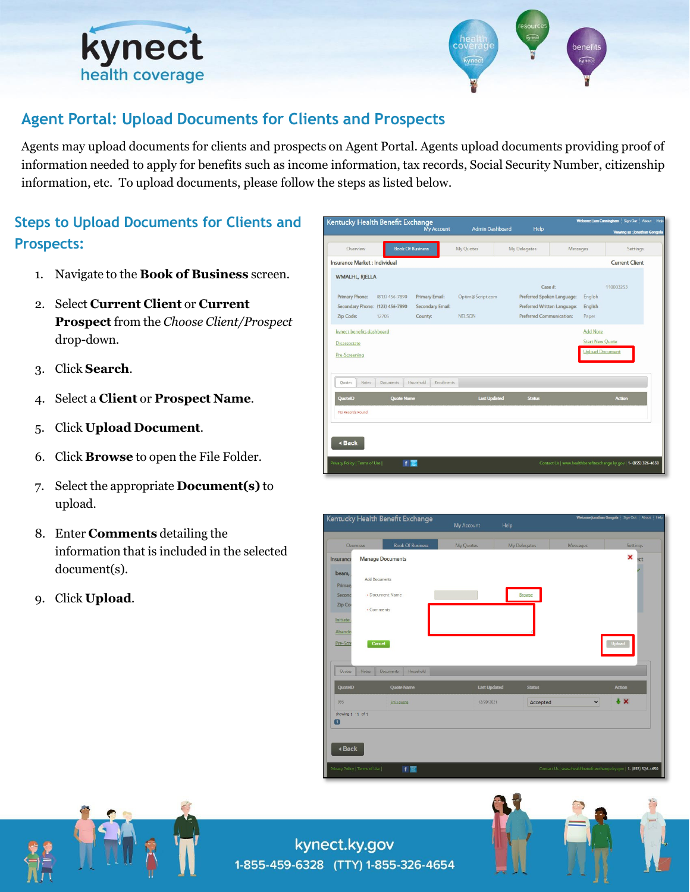



# **Agent Portal: Upload Documents for Clients and Prospects**

Agents may upload documents for clients and prospects on Agent Portal. Agents upload documents providing proof of information needed to apply for benefits such as income information, tax records, Social Security Number, citizenship information, etc. To upload documents, please follow the steps as listed below.

# **Steps to Upload Documents for Clients and Prospects:**

- 1. Navigate to the **Book of Business** screen.
- 2. Select **Current Client** or **Current Prospect** from the *Choose Client/Prospect*  drop-down.
- 3. Click **Search**.
- 4. Select a **Client** or **Prospect Name**.
- 5. Click **Upload Document**.
- 6. Click **Browse** to open the File Folder.
- 7. Select the appropriate **Document(s)** to upload.
- 8. Enter **Comments** detailing the information that is included in the selected document(s).
- 9. Click **Upload**.



|                       | <b>Book Of Business</b><br>Overview    | My Quotes           | <b>My Delegates</b> | Messages    | Settings                |
|-----------------------|----------------------------------------|---------------------|---------------------|-------------|-------------------------|
| Insurance             | <b>Manage Documents</b>                |                     |                     |             | ×<br>ect                |
| beam,<br>Priman       | <b>Add Documents</b>                   |                     |                     |             |                         |
| Second                | · Document Name                        |                     | Browse              |             |                         |
| Zip Cor               | * Comments                             |                     |                     |             |                         |
| Initiate              |                                        |                     |                     |             |                         |
| Abando                |                                        |                     |                     |             |                         |
| Pre-Scre              | Cancel                                 |                     |                     |             | <b>Upload</b>           |
|                       |                                        |                     |                     |             |                         |
|                       |                                        |                     |                     |             |                         |
|                       |                                        |                     |                     |             |                         |
| Quotes                | Household<br>Notes<br><b>Documents</b> |                     |                     |             |                         |
|                       | <b>Quote Name</b>                      | <b>Last Updated</b> | <b>Status</b>       |             | <b>Action</b>           |
| <b>QuotelD</b><br>995 | jim's quote                            | 12/20/2021          | Accepted            | $\check{~}$ | $\overline{\mathbf{r}}$ |
| showing 1 -1 of 1     |                                        |                     |                     |             |                         |
| Ω                     |                                        |                     |                     |             |                         |
|                       |                                        |                     |                     |             |                         |

![](_page_0_Picture_16.jpeg)

![](_page_0_Picture_17.jpeg)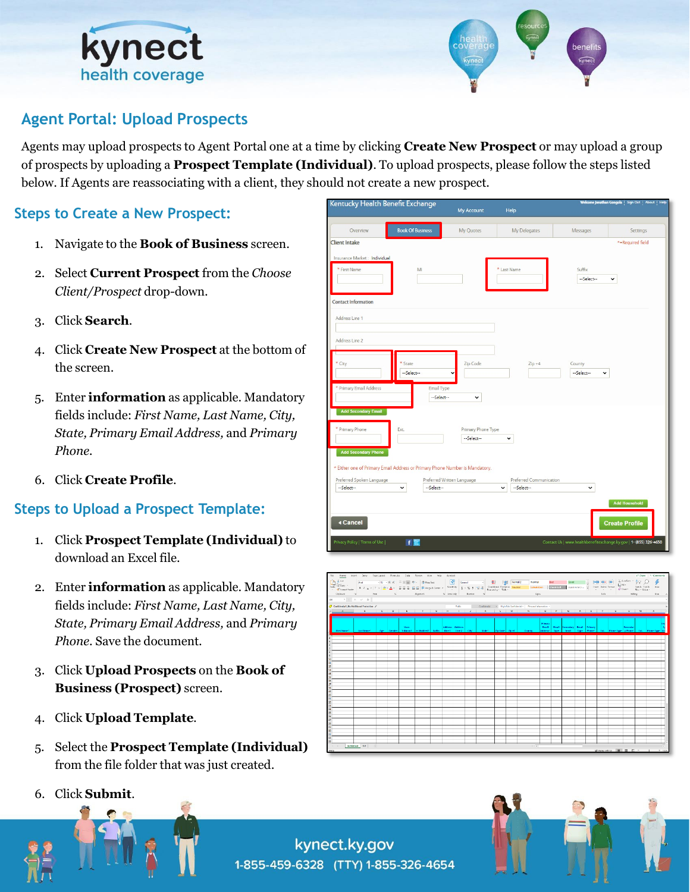![](_page_1_Picture_0.jpeg)

![](_page_1_Picture_1.jpeg)

# **Agent Portal: Upload Prospects**

Agents may upload prospects to Agent Portal one at a time by clicking **Create New Prospect** or may upload a group of prospects by uploading a **Prospect Template (Individual)**. To upload prospects, please follow the steps listed below. If Agents are reassociating with a client, they should not create a new prospect.

### **Steps to Create a New Prospect:**

- 1. Navigate to the **Book of Business** screen.
- 2. Select **Current Prospect** from the *Choose Client/Prospect* drop-down.
- 3. Click **Search**.
- 4. Click **Create New Prospect** at the bottom of the screen.
- 5. Enter **information** as applicable. Mandatory fields include: *First Name, Last Name, City, State, Primary Email Address,* and *Primary Phone.*
- 6. Click **Create Profile**.

### **Steps to Upload a Prospect Template:**

- 1. Click **Prospect Template (Individual)** to download an Excel file.
- 2. Enter **information** as applicable. Mandatory fields include: *First Name, Last Name, City, State, Primary Email Address,* and *Primary Phone*. Save the document.
- 3. Click **Upload Prospects** on the **Book of Business (Prospect)** screen.
- 4. Click **Upload Template**.
- 5. Select the **Prospect Template (Individual)**  from the file folder that was just created.
- 6. Click **Submit**.

![](_page_1_Picture_18.jpeg)

| $\begin{bmatrix} \Delta\phi_{\text{low}} & \text{low} \\ \frac{\Delta\phi_{\text{low}}}{\sqrt{2}}\cos\phi & \text{low} \end{bmatrix} \begin{bmatrix} \text{with} \quad \Delta\phi_{\text{low}} \\ \text{with} \quad \Delta\phi_{\text{low}} \end{bmatrix} = \begin{bmatrix} \text{with} \quad \text{with} \quad \text{with} \quad \text{with} \quad \text{with} \quad \text{with} \quad \text{with} \quad \text{with} \quad \text{with} \quad \text{with} \quad \text{with} \quad \text{with} \quad \text{with} \quad \text{with} \quad \text{with} \quad \text{with$<br>and the state of the state of the state of the state of the state of the state of the state of the state of the<br>$AB \longrightarrow \top \times \times A$<br>Gerlidential \ No Additional Protection /<br>Public Confidential - High Rick Confidential - Personal Information - |  |
|-------------------------------------------------------------------------------------------------------------------------------------------------------------------------------------------------------------------------------------------------------------------------------------------------------------------------------------------------------------------------------------------------------------------------------------------------------------------------------------------------------------------------------------------------------------------------------------------------------------------------------------------------------------------------------------------------------------------------------------------------------------------------------------------------------------------------------------------------------------|--|
|                                                                                                                                                                                                                                                                                                                                                                                                                                                                                                                                                                                                                                                                                                                                                                                                                                                             |  |
|                                                                                                                                                                                                                                                                                                                                                                                                                                                                                                                                                                                                                                                                                                                                                                                                                                                             |  |
|                                                                                                                                                                                                                                                                                                                                                                                                                                                                                                                                                                                                                                                                                                                                                                                                                                                             |  |
|                                                                                                                                                                                                                                                                                                                                                                                                                                                                                                                                                                                                                                                                                                                                                                                                                                                             |  |
| <u>A</u> B C D E F G H I J X L M N O P Q R S T U V W X I                                                                                                                                                                                                                                                                                                                                                                                                                                                                                                                                                                                                                                                                                                                                                                                                    |  |
|                                                                                                                                                                                                                                                                                                                                                                                                                                                                                                                                                                                                                                                                                                                                                                                                                                                             |  |
| Primary<br>Address Address<br>Email Email Secondary Email Primary          <br>Uses:<br>Secondar<br>Textional continues are control minuted into the lines that they cape state that partial part come address the final the those the those spectral that the phone spectral                                                                                                                                                                                                                                                                                                                                                                                                                                                                                                                                                                               |  |
|                                                                                                                                                                                                                                                                                                                                                                                                                                                                                                                                                                                                                                                                                                                                                                                                                                                             |  |
|                                                                                                                                                                                                                                                                                                                                                                                                                                                                                                                                                                                                                                                                                                                                                                                                                                                             |  |
|                                                                                                                                                                                                                                                                                                                                                                                                                                                                                                                                                                                                                                                                                                                                                                                                                                                             |  |
|                                                                                                                                                                                                                                                                                                                                                                                                                                                                                                                                                                                                                                                                                                                                                                                                                                                             |  |
|                                                                                                                                                                                                                                                                                                                                                                                                                                                                                                                                                                                                                                                                                                                                                                                                                                                             |  |
|                                                                                                                                                                                                                                                                                                                                                                                                                                                                                                                                                                                                                                                                                                                                                                                                                                                             |  |
|                                                                                                                                                                                                                                                                                                                                                                                                                                                                                                                                                                                                                                                                                                                                                                                                                                                             |  |
|                                                                                                                                                                                                                                                                                                                                                                                                                                                                                                                                                                                                                                                                                                                                                                                                                                                             |  |
|                                                                                                                                                                                                                                                                                                                                                                                                                                                                                                                                                                                                                                                                                                                                                                                                                                                             |  |
|                                                                                                                                                                                                                                                                                                                                                                                                                                                                                                                                                                                                                                                                                                                                                                                                                                                             |  |
|                                                                                                                                                                                                                                                                                                                                                                                                                                                                                                                                                                                                                                                                                                                                                                                                                                                             |  |
|                                                                                                                                                                                                                                                                                                                                                                                                                                                                                                                                                                                                                                                                                                                                                                                                                                                             |  |
|                                                                                                                                                                                                                                                                                                                                                                                                                                                                                                                                                                                                                                                                                                                                                                                                                                                             |  |
|                                                                                                                                                                                                                                                                                                                                                                                                                                                                                                                                                                                                                                                                                                                                                                                                                                                             |  |
|                                                                                                                                                                                                                                                                                                                                                                                                                                                                                                                                                                                                                                                                                                                                                                                                                                                             |  |
|                                                                                                                                                                                                                                                                                                                                                                                                                                                                                                                                                                                                                                                                                                                                                                                                                                                             |  |
|                                                                                                                                                                                                                                                                                                                                                                                                                                                                                                                                                                                                                                                                                                                                                                                                                                                             |  |
|                                                                                                                                                                                                                                                                                                                                                                                                                                                                                                                                                                                                                                                                                                                                                                                                                                                             |  |
|                                                                                                                                                                                                                                                                                                                                                                                                                                                                                                                                                                                                                                                                                                                                                                                                                                                             |  |
|                                                                                                                                                                                                                                                                                                                                                                                                                                                                                                                                                                                                                                                                                                                                                                                                                                                             |  |
|                                                                                                                                                                                                                                                                                                                                                                                                                                                                                                                                                                                                                                                                                                                                                                                                                                                             |  |
| > Individual Ret   @<br>$\pm$ 1                                                                                                                                                                                                                                                                                                                                                                                                                                                                                                                                                                                                                                                                                                                                                                                                                             |  |
| Working E II E - 1 + tos                                                                                                                                                                                                                                                                                                                                                                                                                                                                                                                                                                                                                                                                                                                                                                                                                                    |  |

kynect.ky.gov 1-855-459-6328 (TTY) 1-855-326-4654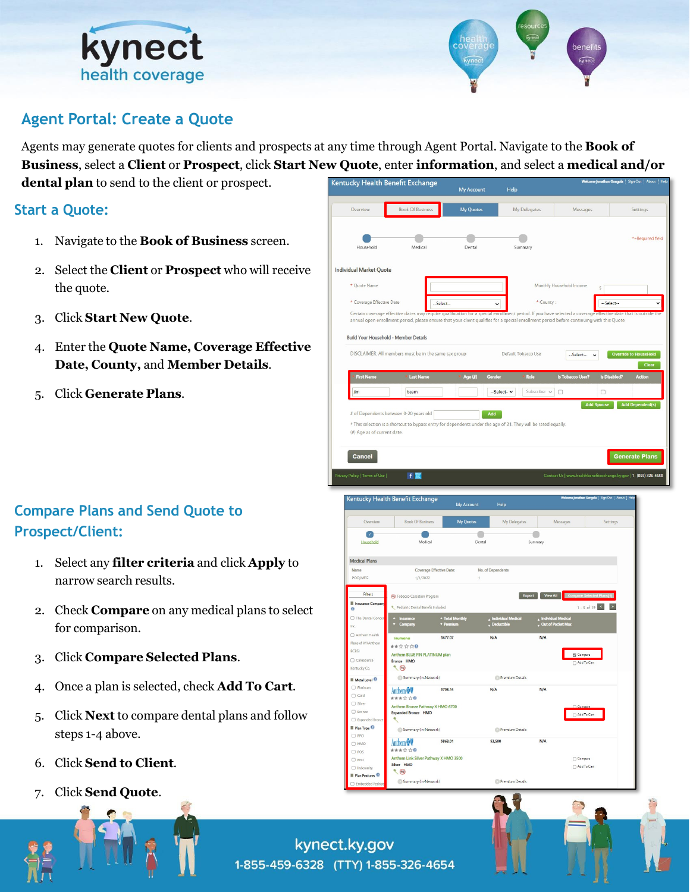![](_page_2_Picture_0.jpeg)

![](_page_2_Picture_1.jpeg)

## **Agent Portal: Create a Quote**

Agents may generate quotes for clients and prospects at any time through Agent Portal. Navigate to the **Book of Business**, select a **Client** or **Prospect**, click **Start New Quote**, enter **information**, and select a **medical and/or dental plan** to send to the client or prospect.

#### **Start a Quote:**

- 1. Navigate to the **Book of Business** screen.
- 2. Select the **Client** or **Prospect** who will receive the quote.
- 3. Click **Start New Quote**.
- 4. Enter the **Quote Name, Coverage Effective Date, County,** and **Member Details**.
- 5. Click **Generate Plans**.

# **Compare Plans and Send Quote to Prospect/Client:**

- 1. Select any **filter criteria** and click **Apply** to narrow search results.
- 2. Check **Compare** on any medical plans to select for comparison.
- 3. Click **Compare Selected Plans**.
- 4. Once a plan is selected, check **Add To Cart**.
- 5. Click **Next** to compare dental plans and follow steps 1-4 above.
- 6. Click **Send to Client**.
- 7. Click **Send Quote**.

![](_page_2_Picture_18.jpeg)

kynect.ky.gov 1-855-459-6328 (TTY) 1-855-326-4654